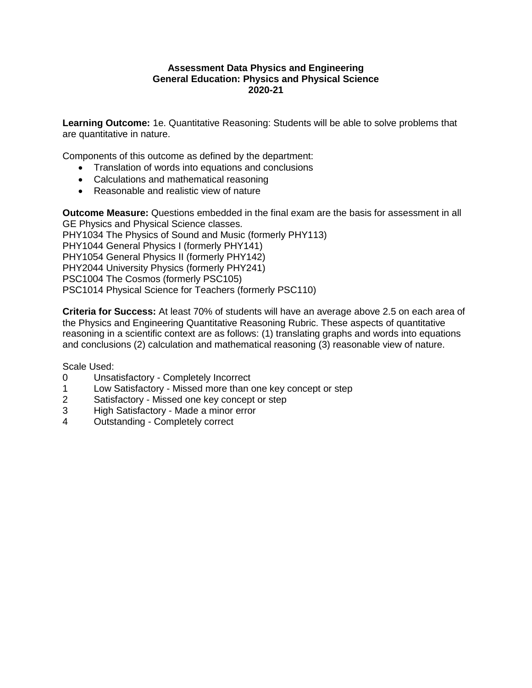## **Assessment Data Physics and Engineering General Education: Physics and Physical Science 2020-21**

**Learning Outcome:** 1e. Quantitative Reasoning: Students will be able to solve problems that are quantitative in nature.

Components of this outcome as defined by the department:

- Translation of words into equations and conclusions
- Calculations and mathematical reasoning
- Reasonable and realistic view of nature

**Outcome Measure:** Questions embedded in the final exam are the basis for assessment in all GE Physics and Physical Science classes. PHY1034 The Physics of Sound and Music (formerly PHY113) PHY1044 General Physics I (formerly PHY141) PHY1054 General Physics II (formerly PHY142) PHY2044 University Physics (formerly PHY241) PSC1004 The Cosmos (formerly PSC105) PSC1014 Physical Science for Teachers (formerly PSC110)

**Criteria for Success:** At least 70% of students will have an average above 2.5 on each area of the Physics and Engineering Quantitative Reasoning Rubric. These aspects of quantitative reasoning in a scientific context are as follows: (1) translating graphs and words into equations and conclusions (2) calculation and mathematical reasoning (3) reasonable view of nature.

Scale Used:

- 0 Unsatisfactory Completely Incorrect
- 1 Low Satisfactory Missed more than one key concept or step
- 2 Satisfactory Missed one key concept or step
- 3 High Satisfactory Made a minor error<br>4 Outstanding Completely correct
- Outstanding Completely correct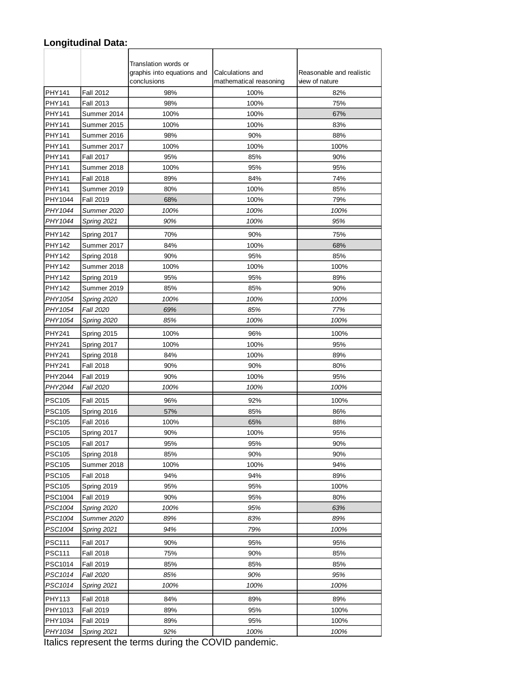## **Longitudinal Data:**

|                |                    | Translation words or<br>graphis into equations and | Calculations and       | Reasonable and realistic |
|----------------|--------------------|----------------------------------------------------|------------------------|--------------------------|
|                |                    | conclusions                                        | mathematical reasoning | view of nature           |
| PHY141         | <b>Fall 2012</b>   | 98%                                                | 100%                   | 82%                      |
| PHY141         | <b>Fall 2013</b>   | 98%                                                | 100%                   | 75%                      |
| PHY141         | Summer 2014        | 100%                                               | 100%                   | 67%                      |
| PHY141         | Summer 2015        | 100%                                               | 100%                   | 83%                      |
| PHY141         | Summer 2016        | 98%                                                | 90%                    | 88%                      |
| PHY141         | Summer 2017        | 100%                                               | 100%                   | 100%                     |
| PHY141         | <b>Fall 2017</b>   | 95%                                                | 85%                    | 90%                      |
| PHY141         | Summer 2018        | 100%                                               | 95%                    | 95%                      |
| PHY141         | <b>Fall 2018</b>   | 89%                                                | 84%                    | 74%                      |
| PHY141         | Summer 2019        | 80%                                                | 100%                   | 85%                      |
| PHY1044        | <b>Fall 2019</b>   | 68%                                                | 100%                   | 79%                      |
| PHY1044        | Summer 2020        | 100%                                               | 100%                   | 100%                     |
| PHY1044        | Spring 2021        | 90%                                                | 100%                   | 95%                      |
| PHY142         | Spring 2017        | 70%                                                | 90%                    | 75%                      |
| PHY142         | Summer 2017        | 84%                                                | 100%                   | 68%                      |
| <b>PHY142</b>  | Spring 2018        | 90%                                                | 95%                    | 85%                      |
| <b>PHY142</b>  | Summer 2018        | 100%                                               | 100%                   | 100%                     |
| PHY142         | Spring 2019        | 95%                                                | 95%                    | 89%                      |
| PHY142         | Summer 2019        | 85%                                                | 85%                    | 90%                      |
| PHY1054        | Spring 2020        | 100%                                               | 100%                   | 100%                     |
| PHY1054        | <b>Fall 2020</b>   | 69%                                                | 85%                    | 77%                      |
| PHY1054        | Spring 2020        | 85%                                                | 100%                   | 100%                     |
| <b>PHY241</b>  | Spring 2015        | 100%                                               | 96%                    | 100%                     |
| <b>PHY241</b>  | Spring 2017        | 100%                                               | 100%                   | 95%                      |
| <b>PHY241</b>  | Spring 2018        | 84%                                                | 100%                   | 89%                      |
| <b>PHY241</b>  | <b>Fall 2018</b>   | 90%                                                | 90%                    | 80%                      |
| PHY2044        | Fall 2019          | 90%                                                | 100%                   | 95%                      |
| PHY2044        | <b>Fall 2020</b>   | 100%                                               | 100%                   | 100%                     |
| <b>PSC105</b>  | <b>Fall 2015</b>   | 96%                                                | 92%                    | 100%                     |
| <b>PSC105</b>  | Spring 2016        | 57%                                                | 85%                    | 86%                      |
| <b>PSC105</b>  | <b>Fall 2016</b>   | 100%                                               | 65%                    | 88%                      |
| <b>PSC105</b>  | Spring 2017        | 90%                                                | 100%                   | 95%                      |
| <b>PSC105</b>  | <b>Fall 2017</b>   | 95%                                                | 95%                    | 90%                      |
| <b>PSC105</b>  | Spring 2018        | 85%                                                | 90%                    | 90%                      |
| <b>PSC105</b>  | Summer 2018        | 100%                                               | 100%                   | 94%                      |
| <b>PSC105</b>  | <b>Fall 2018</b>   | 94%                                                | 94%                    | 89%                      |
| <b>PSC105</b>  | Spring 2019        | 95%                                                | 95%                    | 100%                     |
| <b>PSC1004</b> | <b>Fall 2019</b>   | 90%                                                | 95%                    | 80%                      |
| PSC1004        | Spring 2020        | 100%                                               | 95%                    | 63%                      |
| PSC1004        | Summer 2020        | 89%                                                | 83%                    | 89%                      |
| PSC1004        | <b>Spring 2021</b> | 94%                                                | 79%                    | 100%                     |
| <b>PSC111</b>  | <b>Fall 2017</b>   | 90%                                                | 95%                    | 95%                      |
| <b>PSC111</b>  | <b>Fall 2018</b>   | 75%                                                | 90%                    | 85%                      |
| <b>PSC1014</b> | Fall 2019          | 85%                                                | 85%                    | 85%                      |
| PSC1014        | Fall 2020          | 85%                                                | 90%                    | 95%                      |
| PSC1014        | Spring 2021        | 100%                                               | 100%                   | 100%                     |
| PHY113         | <b>Fall 2018</b>   | 84%                                                | 89%                    | 89%                      |
| PHY1013        | Fall 2019          | 89%                                                | 95%                    | 100%                     |
| PHY1034        | <b>Fall 2019</b>   | 89%                                                | 95%                    | 100%                     |
| PHY1034        | Spring 2021        | 92%                                                | 100%                   | 100%                     |

Italics represent the terms during the COVID pandemic.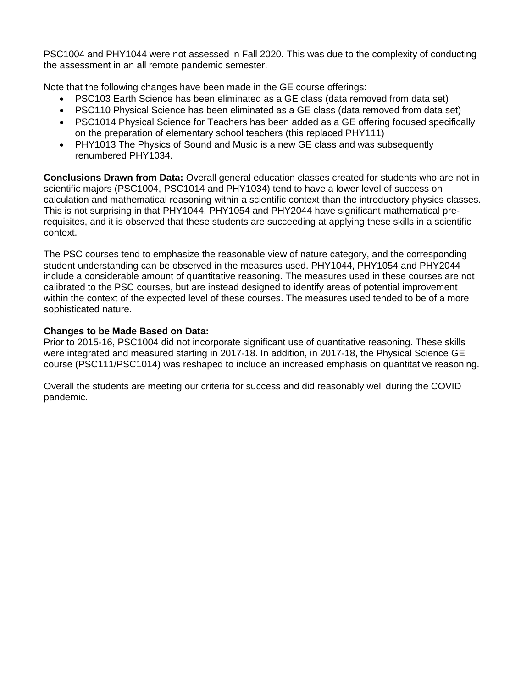PSC1004 and PHY1044 were not assessed in Fall 2020. This was due to the complexity of conducting the assessment in an all remote pandemic semester.

Note that the following changes have been made in the GE course offerings:

- PSC103 Earth Science has been eliminated as a GE class (data removed from data set)
- PSC110 Physical Science has been eliminated as a GE class (data removed from data set)
- PSC1014 Physical Science for Teachers has been added as a GE offering focused specifically on the preparation of elementary school teachers (this replaced PHY111)
- PHY1013 The Physics of Sound and Music is a new GE class and was subsequently renumbered PHY1034.

**Conclusions Drawn from Data:** Overall general education classes created for students who are not in scientific majors (PSC1004, PSC1014 and PHY1034) tend to have a lower level of success on calculation and mathematical reasoning within a scientific context than the introductory physics classes. This is not surprising in that PHY1044, PHY1054 and PHY2044 have significant mathematical prerequisites, and it is observed that these students are succeeding at applying these skills in a scientific context.

The PSC courses tend to emphasize the reasonable view of nature category, and the corresponding student understanding can be observed in the measures used. PHY1044, PHY1054 and PHY2044 include a considerable amount of quantitative reasoning. The measures used in these courses are not calibrated to the PSC courses, but are instead designed to identify areas of potential improvement within the context of the expected level of these courses. The measures used tended to be of a more sophisticated nature.

## **Changes to be Made Based on Data:**

Prior to 2015-16, PSC1004 did not incorporate significant use of quantitative reasoning. These skills were integrated and measured starting in 2017-18. In addition, in 2017-18, the Physical Science GE course (PSC111/PSC1014) was reshaped to include an increased emphasis on quantitative reasoning.

Overall the students are meeting our criteria for success and did reasonably well during the COVID pandemic.